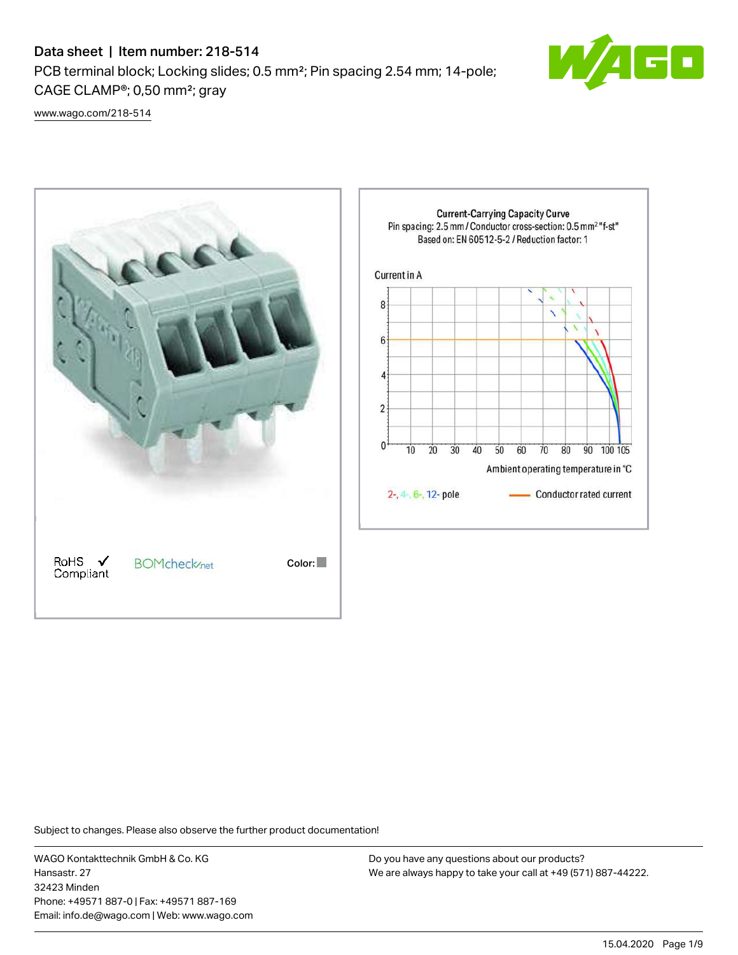# Data sheet | Item number: 218-514

PCB terminal block; Locking slides; 0.5 mm²; Pin spacing 2.54 mm; 14-pole; CAGE CLAMP®; 0,50 mm²; gray



[www.wago.com/218-514](http://www.wago.com/218-514)



Subject to changes. Please also observe the further product documentation!

WAGO Kontakttechnik GmbH & Co. KG Hansastr. 27 32423 Minden Phone: +49571 887-0 | Fax: +49571 887-169 Email: info.de@wago.com | Web: www.wago.com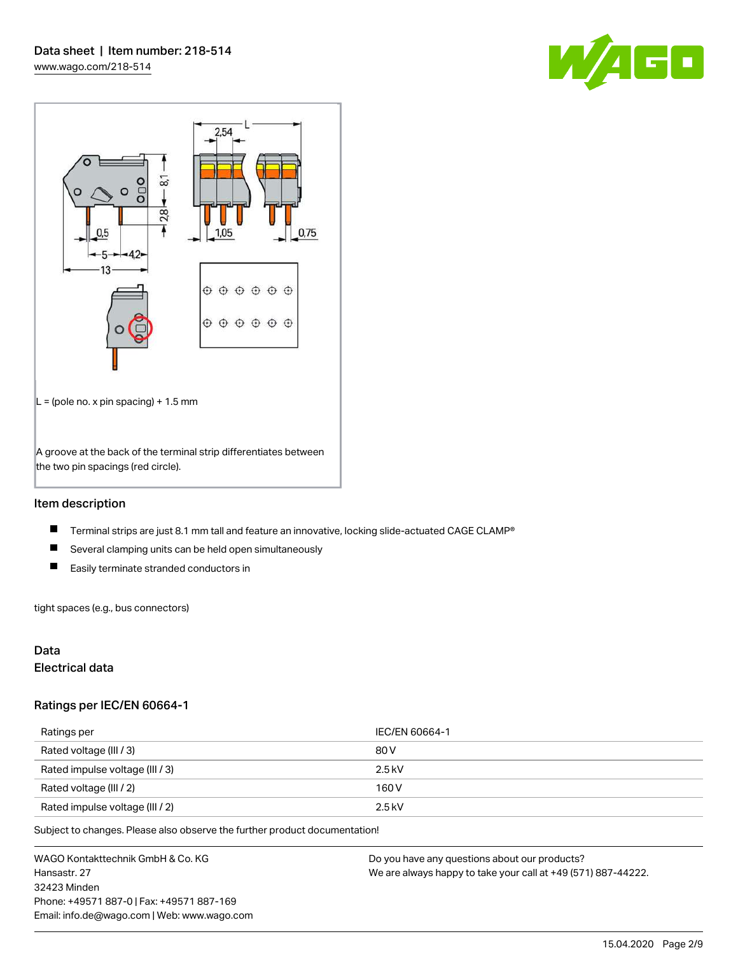



#### Item description

- $\blacksquare$ Terminal strips are just 8.1 mm tall and feature an innovative, locking slide-actuated CAGE CLAMP®
- $\blacksquare$ Several clamping units can be held open simultaneously
- $\blacksquare$ Easily terminate stranded conductors in

tight spaces (e.g., bus connectors)

#### Data

### Electrical data

#### Ratings per IEC/EN 60664-1

| Ratings per                     | IEC/EN 60664-1 |
|---------------------------------|----------------|
| Rated voltage (III / 3)         | 80 V           |
| Rated impulse voltage (III / 3) | $2.5$ kV       |
| Rated voltage (III / 2)         | 160 V          |
| Rated impulse voltage (III / 2) | $2.5$ kV       |

Subject to changes. Please also observe the further product documentation!

WAGO Kontakttechnik GmbH & Co. KG Hansastr. 27 32423 Minden Phone: +49571 887-0 | Fax: +49571 887-169 Email: info.de@wago.com | Web: www.wago.com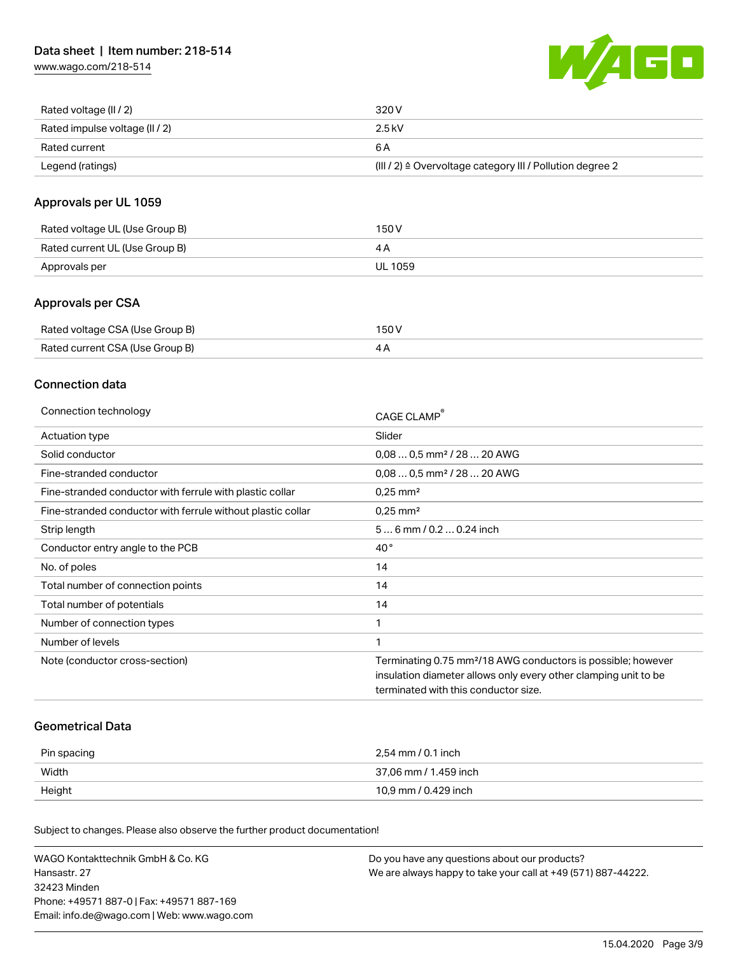[www.wago.com/218-514](http://www.wago.com/218-514)



| Rated voltage (II / 2)         | 320 V                                                                 |
|--------------------------------|-----------------------------------------------------------------------|
| Rated impulse voltage (II / 2) | 2.5 kV                                                                |
| Rated current                  | 6 A                                                                   |
| Legend (ratings)               | $(III / 2)$ $\triangle$ Overvoltage category III / Pollution degree 2 |

#### Approvals per UL 1059

| Rated voltage UL (Use Group B) | 150 V   |
|--------------------------------|---------|
| Rated current UL (Use Group B) |         |
| Approvals per                  | UL 1059 |

#### Approvals per CSA

| Rated voltage CSA (Use Group B) | 150 V |
|---------------------------------|-------|
| Rated current CSA (Use Group B) |       |

#### Connection data

| Connection technology                                       | CAGE CLAMP                                                               |
|-------------------------------------------------------------|--------------------------------------------------------------------------|
| Actuation type                                              | Slider                                                                   |
| Solid conductor                                             | $0.080.5$ mm <sup>2</sup> / 28  20 AWG                                   |
| Fine-stranded conductor                                     | $0,080,5$ mm <sup>2</sup> / 28  20 AWG                                   |
| Fine-stranded conductor with ferrule with plastic collar    | $0.25$ mm <sup>2</sup>                                                   |
| Fine-stranded conductor with ferrule without plastic collar | $0.25$ mm <sup>2</sup>                                                   |
| Strip length                                                | 56 mm / 0.2 0.24 inch                                                    |
| Conductor entry angle to the PCB                            | $40^{\circ}$                                                             |
| No. of poles                                                | 14                                                                       |
| Total number of connection points                           | 14                                                                       |
| Total number of potentials                                  | 14                                                                       |
| Number of connection types                                  | 1                                                                        |
| Number of levels                                            |                                                                          |
| Note (conductor cross-section)                              | Terminating 0.75 mm <sup>2</sup> /18 AWG conductors is possible; however |
|                                                             | insulation diameter allows only every other clamping unit to be          |
|                                                             | terminated with this conductor size.                                     |

#### Geometrical Data

| Pin spacing | 2.54 mm / 0.1 inch    |
|-------------|-----------------------|
| Width       | 37,06 mm / 1.459 inch |
| Height      | 10,9 mm / 0.429 inch  |

Subject to changes. Please also observe the further product documentation!

| WAGO Kontakttechnik GmbH & Co. KG           | Do you have any questions about our products?                 |
|---------------------------------------------|---------------------------------------------------------------|
| Hansastr. 27                                | We are always happy to take your call at +49 (571) 887-44222. |
| 32423 Minden                                |                                                               |
| Phone: +49571 887-01 Fax: +49571 887-169    |                                                               |
| Email: info.de@wago.com   Web: www.wago.com |                                                               |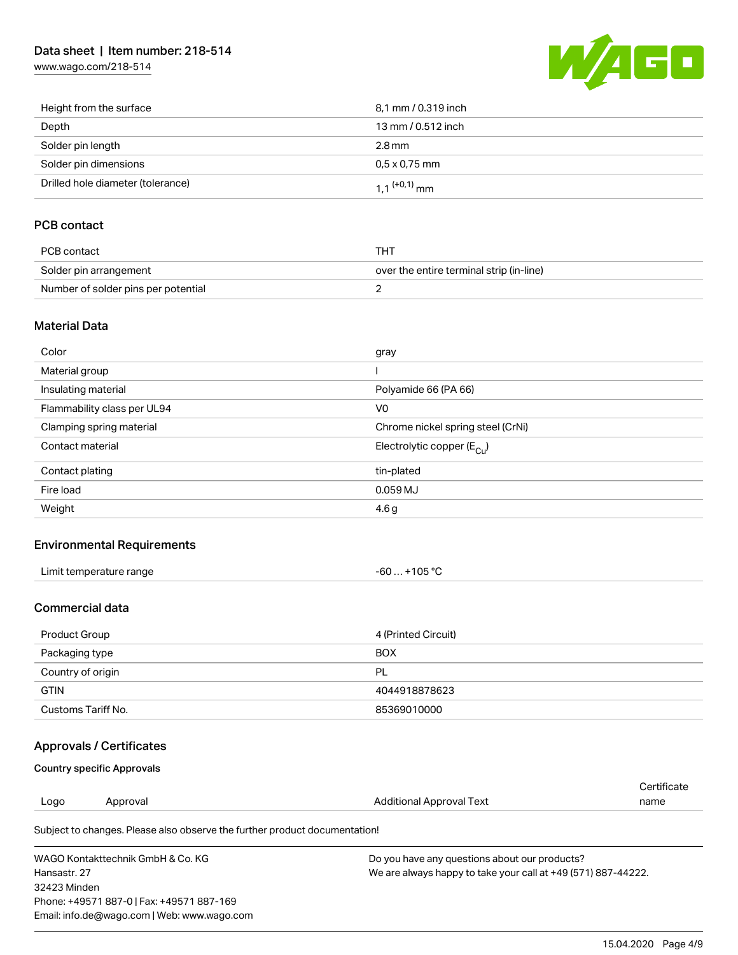# Data sheet | Item number: 218-514

[www.wago.com/218-514](http://www.wago.com/218-514)



| Height from the surface           | 8,1 mm / 0.319 inch        |
|-----------------------------------|----------------------------|
| Depth                             | 13 mm / 0.512 inch         |
| Solder pin length                 | 2.8 mm                     |
| Solder pin dimensions             | $0.5 \times 0.75$ mm       |
| Drilled hole diameter (tolerance) | $1.1$ <sup>(+0,1)</sup> mm |

# PCB contact

| PCB contact                         | тнт                                      |
|-------------------------------------|------------------------------------------|
| Solder pin arrangement              | over the entire terminal strip (in-line) |
| Number of solder pins per potential |                                          |

#### Material Data

| Color                       | gray                                  |
|-----------------------------|---------------------------------------|
| Material group              |                                       |
| Insulating material         | Polyamide 66 (PA 66)                  |
| Flammability class per UL94 | V <sub>0</sub>                        |
| Clamping spring material    | Chrome nickel spring steel (CrNi)     |
| Contact material            | Electrolytic copper $(E_{\text{Cu}})$ |
| Contact plating             | tin-plated                            |
| Fire load                   | 0.059 MJ                              |
| Weight                      | 4.6 <sub>g</sub>                      |

#### Environmental Requirements

| Limit temperature range | . +105 °C<br>-60 |  |
|-------------------------|------------------|--|
|-------------------------|------------------|--|

#### Commercial data

| Product Group      | 4 (Printed Circuit) |
|--------------------|---------------------|
| Packaging type     | <b>BOX</b>          |
| Country of origin  | <b>PL</b>           |
| <b>GTIN</b>        | 4044918878623       |
| Customs Tariff No. | 85369010000         |

# Approvals / Certificates

#### Country specific Approvals

Email: info.de@wago.com | Web: www.wago.com

|                                           |                                                                            |                                               | Certificate                                                   |  |  |
|-------------------------------------------|----------------------------------------------------------------------------|-----------------------------------------------|---------------------------------------------------------------|--|--|
| Logo                                      | Approval                                                                   | Additional Approval Text                      | name                                                          |  |  |
|                                           | Subject to changes. Please also observe the further product documentation! |                                               |                                                               |  |  |
| WAGO Kontakttechnik GmbH & Co. KG         |                                                                            | Do you have any questions about our products? |                                                               |  |  |
| Hansastr, 27                              |                                                                            |                                               | We are always happy to take your call at +49 (571) 887-44222. |  |  |
| 32423 Minden                              |                                                                            |                                               |                                                               |  |  |
| Phone: +49571 887-0   Fax: +49571 887-169 |                                                                            |                                               |                                                               |  |  |

15.04.2020 Page 4/9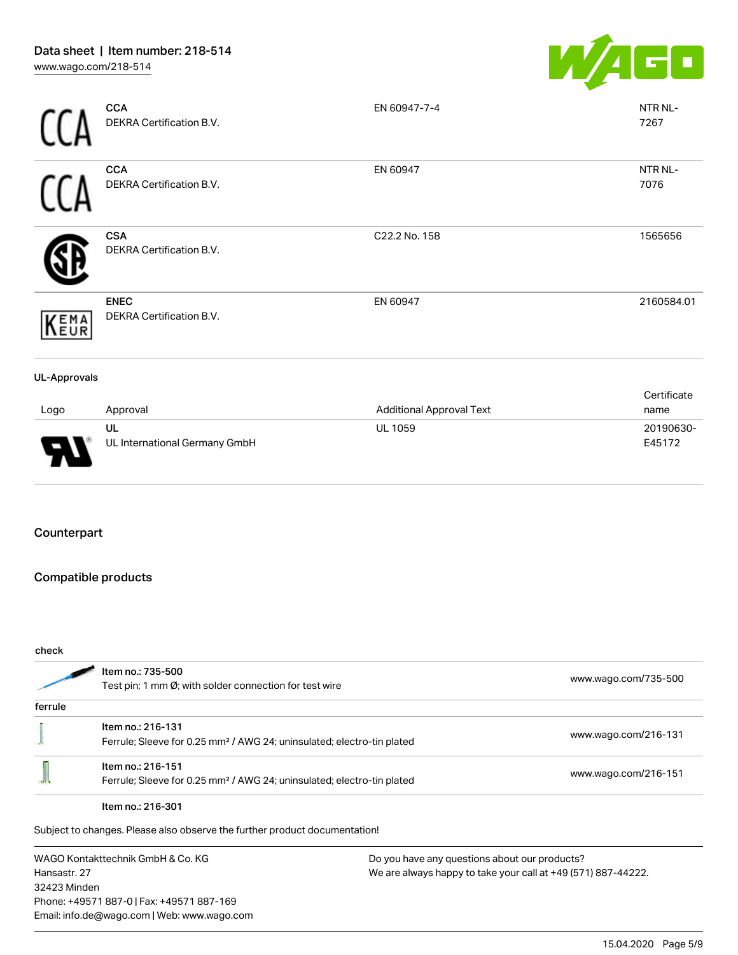

|                     | UL                                      | <b>UL 1059</b>                  | 20190630-           |
|---------------------|-----------------------------------------|---------------------------------|---------------------|
| Logo                | Approval                                | <b>Additional Approval Text</b> | Certificate<br>name |
| <b>UL-Approvals</b> |                                         |                                 |                     |
| KEMA                | <b>ENEC</b><br>DEKRA Certification B.V. | EN 60947                        | 2160584.01          |
|                     | <b>CSA</b><br>DEKRA Certification B.V.  | C22.2 No. 158                   | 1565656             |
|                     | <b>CCA</b><br>DEKRA Certification B.V.  | EN 60947                        | NTR NL-<br>7076     |
|                     | <b>CCA</b><br>DEKRA Certification B.V.  | EN 60947-7-4                    | NTR NL-<br>7267     |

#### Counterpart

# Compatible products

UL International Germany GmbH

Email: info.de@wago.com | Web: www.wago.com

| check                                                                                                          |                                                                                                         |                                               |                                                               |
|----------------------------------------------------------------------------------------------------------------|---------------------------------------------------------------------------------------------------------|-----------------------------------------------|---------------------------------------------------------------|
|                                                                                                                | Item no.: 735-500<br>Test pin; 1 mm $\varnothing$ ; with solder connection for test wire                |                                               | www.wago.com/735-500                                          |
| ferrule                                                                                                        |                                                                                                         |                                               |                                                               |
|                                                                                                                | Item no.: 216-131<br>Ferrule; Sleeve for 0.25 mm <sup>2</sup> / AWG 24; uninsulated; electro-tin plated |                                               | www.wago.com/216-131                                          |
|                                                                                                                | Item no.: 216-151<br>Ferrule; Sleeve for 0.25 mm <sup>2</sup> / AWG 24; uninsulated; electro-tin plated |                                               | www.wago.com/216-151                                          |
|                                                                                                                | Item no.: 216-301                                                                                       |                                               |                                                               |
|                                                                                                                | Subject to changes. Please also observe the further product documentation!                              |                                               |                                                               |
| WAGO Kontakttechnik GmbH & Co. KG<br>Hansastr, 27<br>32423 Minden<br>Phone: +49571 887-0   Fax: +49571 887-169 |                                                                                                         | Do you have any questions about our products? | We are always happy to take your call at +49 (571) 887-44222. |

E45172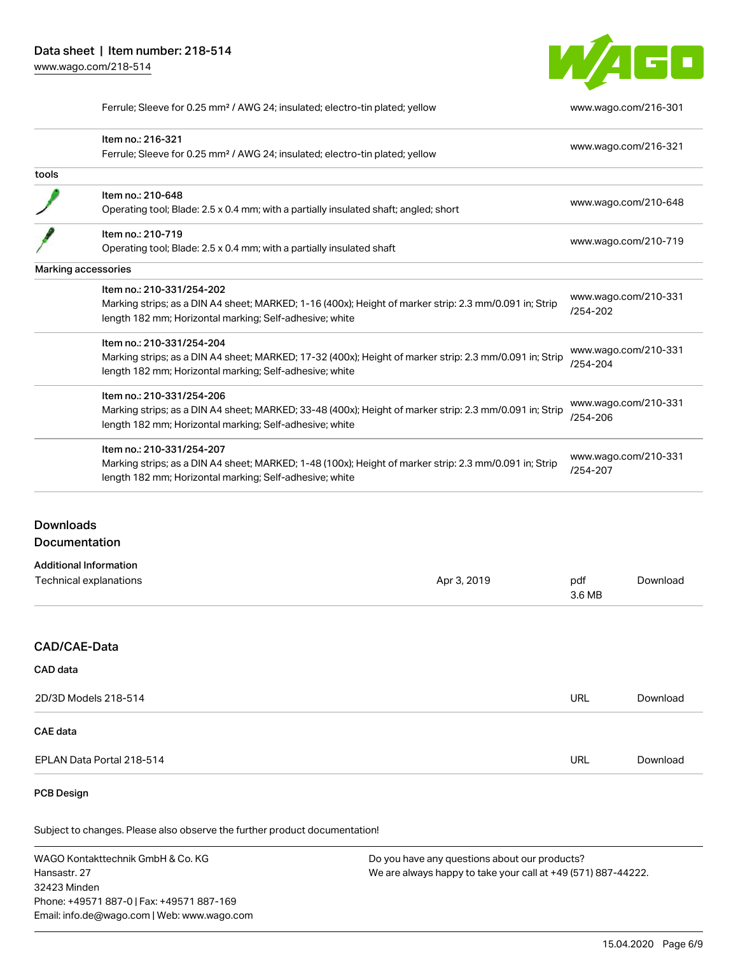32423 Minden

Phone: +49571 887-0 | Fax: +49571 887-169 Email: info.de@wago.com | Web: www.wago.com



Ferrule; Sleeve for 0.25 mm² / AWG 24; insulated; electro-tin plated; yellow [www.wago.com/216-301](http://www.wago.com/216-301)

|                      | Item no.: 216-321<br>Ferrule; Sleeve for 0.25 mm <sup>2</sup> / AWG 24; insulated; electro-tin plated; yellow                                                      |                                                               |                                                                      | www.wago.com/216-321 |  |
|----------------------|--------------------------------------------------------------------------------------------------------------------------------------------------------------------|---------------------------------------------------------------|----------------------------------------------------------------------|----------------------|--|
| tools                |                                                                                                                                                                    |                                                               |                                                                      |                      |  |
|                      | Item no.: 210-648                                                                                                                                                  |                                                               |                                                                      |                      |  |
|                      | Operating tool; Blade: 2.5 x 0.4 mm; with a partially insulated shaft; angled; short                                                                               |                                                               | www.wago.com/210-648                                                 |                      |  |
|                      | Item no.: 210-719                                                                                                                                                  |                                                               |                                                                      |                      |  |
|                      | Operating tool; Blade: 2.5 x 0.4 mm; with a partially insulated shaft                                                                                              |                                                               | www.wago.com/210-719                                                 |                      |  |
|                      | <b>Marking accessories</b>                                                                                                                                         |                                                               |                                                                      |                      |  |
|                      | Item no.: 210-331/254-202                                                                                                                                          |                                                               | www.wago.com/210-331                                                 |                      |  |
|                      | Marking strips; as a DIN A4 sheet; MARKED; 1-16 (400x); Height of marker strip: 2.3 mm/0.091 in; Strip<br>length 182 mm; Horizontal marking; Self-adhesive; white  |                                                               | /254-202                                                             |                      |  |
|                      | Item no.: 210-331/254-204                                                                                                                                          |                                                               | www.wago.com/210-331<br>/254-204                                     |                      |  |
|                      | Marking strips; as a DIN A4 sheet; MARKED; 17-32 (400x); Height of marker strip: 2.3 mm/0.091 in; Strip<br>length 182 mm; Horizontal marking; Self-adhesive; white |                                                               |                                                                      |                      |  |
|                      | Item no.: 210-331/254-206                                                                                                                                          |                                                               | www.wago.com/210-331<br>/254-206<br>www.wago.com/210-331<br>/254-207 |                      |  |
|                      | Marking strips; as a DIN A4 sheet; MARKED; 33-48 (400x); Height of marker strip: 2.3 mm/0.091 in; Strip<br>length 182 mm; Horizontal marking; Self-adhesive; white |                                                               |                                                                      |                      |  |
|                      | Item no.: 210-331/254-207                                                                                                                                          |                                                               |                                                                      |                      |  |
|                      | Marking strips; as a DIN A4 sheet; MARKED; 1-48 (100x); Height of marker strip: 2.3 mm/0.091 in; Strip<br>length 182 mm; Horizontal marking; Self-adhesive; white  |                                                               |                                                                      |                      |  |
| <b>Downloads</b>     |                                                                                                                                                                    |                                                               |                                                                      |                      |  |
| Documentation        |                                                                                                                                                                    |                                                               |                                                                      |                      |  |
|                      | <b>Additional Information</b>                                                                                                                                      |                                                               |                                                                      |                      |  |
|                      | Technical explanations                                                                                                                                             | Apr 3, 2019                                                   | pdf<br>3.6 MB                                                        | Download             |  |
| CAD/CAE-Data         |                                                                                                                                                                    |                                                               |                                                                      |                      |  |
| CAD data             |                                                                                                                                                                    |                                                               |                                                                      |                      |  |
| 2D/3D Models 218-514 |                                                                                                                                                                    |                                                               | <b>URL</b>                                                           | Download             |  |
| <b>CAE</b> data      |                                                                                                                                                                    |                                                               |                                                                      |                      |  |
|                      | EPLAN Data Portal 218-514                                                                                                                                          |                                                               | <b>URL</b>                                                           | Download             |  |
| <b>PCB Design</b>    |                                                                                                                                                                    |                                                               |                                                                      |                      |  |
|                      | Subject to changes. Please also observe the further product documentation!                                                                                         |                                                               |                                                                      |                      |  |
|                      | WAGO Kontakttechnik GmbH & Co. KG<br>Do you have any questions about our products?                                                                                 |                                                               |                                                                      |                      |  |
| Hansastr. 27         |                                                                                                                                                                    | We are always happy to take your call at +49 (571) 887-44222. |                                                                      |                      |  |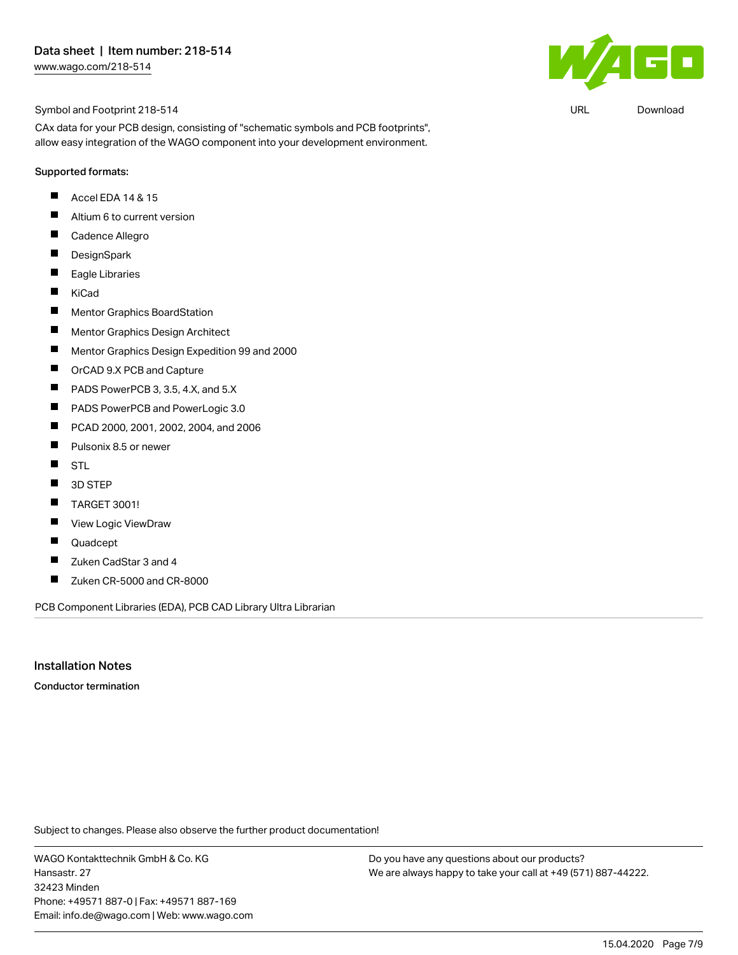

 $\mathbf{F}[\mathbf{r}]$ 

URL [Download](https://www.wago.com/de/d/UltraLibrarian_URLS_218-514)

CAx data for your PCB design, consisting of "schematic symbols and PCB footprints", allow easy integration of the WAGO component into your development environment.

#### Supported formats:

- П Accel EDA 14 & 15
- $\blacksquare$ Altium 6 to current version
- $\blacksquare$ Cadence Allegro
- $\blacksquare$ **DesignSpark**
- $\blacksquare$ Eagle Libraries
- $\blacksquare$ KiCad
- $\blacksquare$ Mentor Graphics BoardStation
- $\blacksquare$ Mentor Graphics Design Architect
- $\blacksquare$ Mentor Graphics Design Expedition 99 and 2000
- П OrCAD 9.X PCB and Capture
- П PADS PowerPCB 3, 3.5, 4.X, and 5.X
- $\blacksquare$ PADS PowerPCB and PowerLogic 3.0
- $\blacksquare$ PCAD 2000, 2001, 2002, 2004, and 2006
- $\blacksquare$ Pulsonix 8.5 or newer
- $\blacksquare$ STL
- $\blacksquare$ 3D STEP
- $\blacksquare$ TARGET 3001!
- $\blacksquare$ View Logic ViewDraw
- П Quadcept
- $\blacksquare$ Zuken CadStar 3 and 4
- $\blacksquare$ Zuken CR-5000 and CR-8000

PCB Component Libraries (EDA), PCB CAD Library Ultra Librarian

Installation Notes

Conductor termination

Subject to changes. Please also observe the further product documentation!

WAGO Kontakttechnik GmbH & Co. KG Hansastr. 27 32423 Minden Phone: +49571 887-0 | Fax: +49571 887-169 Email: info.de@wago.com | Web: www.wago.com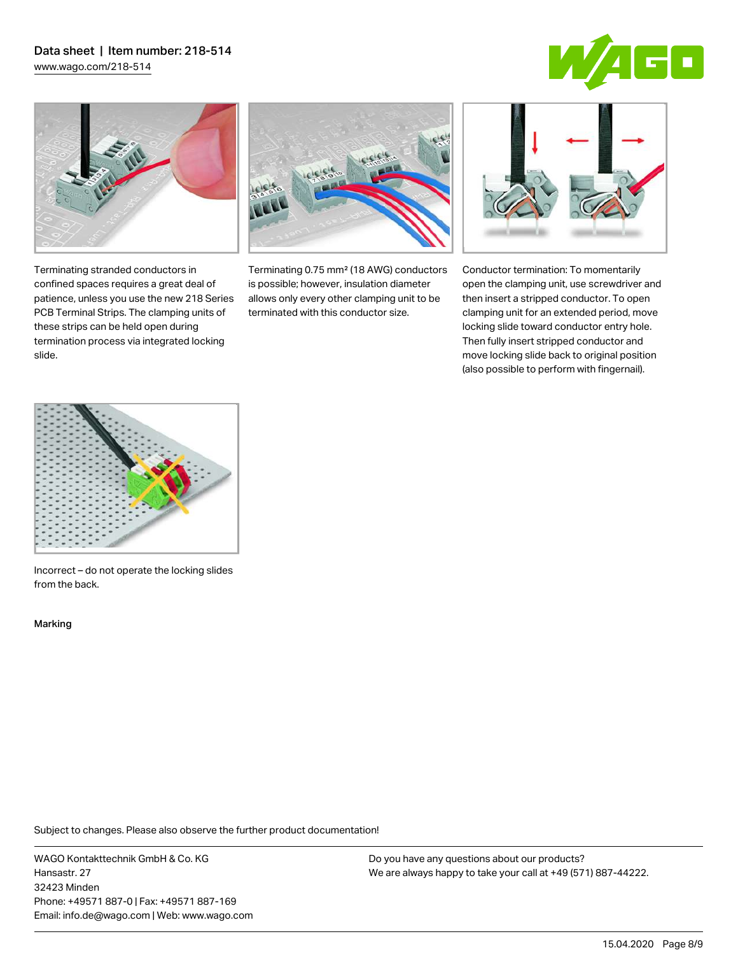# Data sheet | Item number: 218-514

[www.wago.com/218-514](http://www.wago.com/218-514)





Terminating stranded conductors in confined spaces requires a great deal of patience, unless you use the new 218 Series PCB Terminal Strips. The clamping units of these strips can be held open during termination process via integrated locking



Terminating 0.75 mm² (18 AWG) conductors is possible; however, insulation diameter allows only every other clamping unit to be terminated with this conductor size.



Conductor termination: To momentarily open the clamping unit, use screwdriver and then insert a stripped conductor. To open clamping unit for an extended period, move locking slide toward conductor entry hole. Then fully insert stripped conductor and move locking slide back to original position (also possible to perform with fingernail).



Incorrect – do not operate the locking slides from the back.

Marking

slide.

Subject to changes. Please also observe the further product documentation!

WAGO Kontakttechnik GmbH & Co. KG Hansastr. 27 32423 Minden Phone: +49571 887-0 | Fax: +49571 887-169 Email: info.de@wago.com | Web: www.wago.com